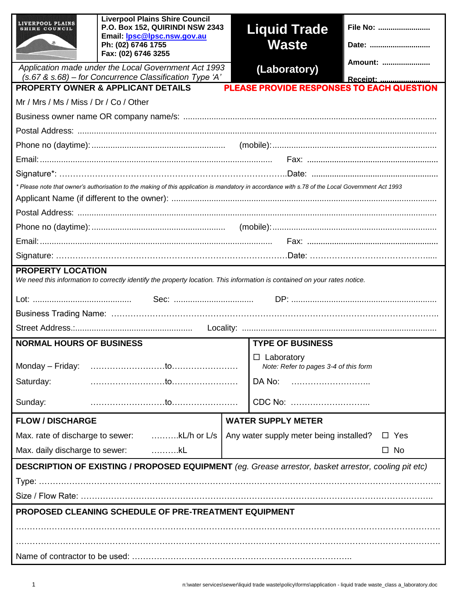| LIVERPOOL PLAINS<br>RE COUNCIL                                                                                                                        | <b>Liverpool Plains Shire Council</b><br>P.O. Box 152, QUIRINDI NSW 2343<br>Email: <b>Ipsc@lpsc.nsw.gov.au</b><br>Ph: (02) 6746 1755<br>Fax: (02) 6746 3255 |  | <b>Liquid Trade</b><br><b>Waste</b>     | File No:<br>Date: |  |  |
|-------------------------------------------------------------------------------------------------------------------------------------------------------|-------------------------------------------------------------------------------------------------------------------------------------------------------------|--|-----------------------------------------|-------------------|--|--|
|                                                                                                                                                       | Application made under the Local Government Act 1993                                                                                                        |  | (Laboratory)                            | Amount:           |  |  |
| $(s.67 \& s.68)$ – for Concurrence Classification Type 'A'<br>Receipt:                                                                                |                                                                                                                                                             |  |                                         |                   |  |  |
| <b>PLEASE PROVIDE RESPONSES TO EACH QUESTION</b><br><b>PROPERTY OWNER &amp; APPLICANT DETAILS</b>                                                     |                                                                                                                                                             |  |                                         |                   |  |  |
| Mr / Mrs / Ms / Miss / Dr / Co / Other                                                                                                                |                                                                                                                                                             |  |                                         |                   |  |  |
|                                                                                                                                                       |                                                                                                                                                             |  |                                         |                   |  |  |
|                                                                                                                                                       |                                                                                                                                                             |  |                                         |                   |  |  |
|                                                                                                                                                       |                                                                                                                                                             |  |                                         |                   |  |  |
|                                                                                                                                                       |                                                                                                                                                             |  |                                         |                   |  |  |
|                                                                                                                                                       |                                                                                                                                                             |  |                                         |                   |  |  |
|                                                                                                                                                       | * Please note that owner's authorisation to the making of this application is mandatory in accordance with s.78 of the Local Government Act 1993            |  |                                         |                   |  |  |
|                                                                                                                                                       |                                                                                                                                                             |  |                                         |                   |  |  |
|                                                                                                                                                       |                                                                                                                                                             |  |                                         |                   |  |  |
|                                                                                                                                                       |                                                                                                                                                             |  |                                         |                   |  |  |
|                                                                                                                                                       |                                                                                                                                                             |  |                                         |                   |  |  |
| <b>PROPERTY LOCATION</b><br>We need this information to correctly identify the property location. This information is contained on your rates notice. |                                                                                                                                                             |  |                                         |                   |  |  |
|                                                                                                                                                       |                                                                                                                                                             |  |                                         |                   |  |  |
|                                                                                                                                                       |                                                                                                                                                             |  |                                         |                   |  |  |
|                                                                                                                                                       |                                                                                                                                                             |  |                                         |                   |  |  |
| <b>NORMAL HOURS OF BUSINESS</b>                                                                                                                       |                                                                                                                                                             |  | <b>TYPE OF BUSINESS</b>                 |                   |  |  |
|                                                                                                                                                       |                                                                                                                                                             |  | $\Box$ Laboratory                       |                   |  |  |
|                                                                                                                                                       |                                                                                                                                                             |  | Note: Refer to pages 3-4 of this form   |                   |  |  |
| Saturday:                                                                                                                                             |                                                                                                                                                             |  | DA No:                                  |                   |  |  |
| Sunday:                                                                                                                                               |                                                                                                                                                             |  | CDC No:                                 |                   |  |  |
| <b>FLOW / DISCHARGE</b>                                                                                                                               |                                                                                                                                                             |  | <b>WATER SUPPLY METER</b>               |                   |  |  |
|                                                                                                                                                       | Max. rate of discharge to sewer: kL/h or L/s                                                                                                                |  | Any water supply meter being installed? | $\Box$ Yes        |  |  |
|                                                                                                                                                       | Max. daily discharge to sewer: kL                                                                                                                           |  |                                         | $\square$ No      |  |  |
| DESCRIPTION OF EXISTING / PROPOSED EQUIPMENT (eg. Grease arrestor, basket arrestor, cooling pit etc)                                                  |                                                                                                                                                             |  |                                         |                   |  |  |
|                                                                                                                                                       |                                                                                                                                                             |  |                                         |                   |  |  |
|                                                                                                                                                       |                                                                                                                                                             |  |                                         |                   |  |  |
| PROPOSED CLEANING SCHEDULE OF PRE-TREATMENT EQUIPMENT                                                                                                 |                                                                                                                                                             |  |                                         |                   |  |  |
|                                                                                                                                                       |                                                                                                                                                             |  |                                         |                   |  |  |
|                                                                                                                                                       |                                                                                                                                                             |  |                                         |                   |  |  |
|                                                                                                                                                       |                                                                                                                                                             |  |                                         |                   |  |  |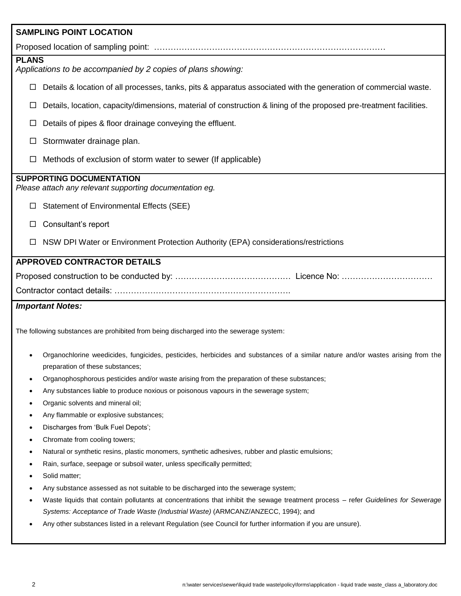|                                                                                                                                                                     | <b>SAMPLING POINT LOCATION</b>                                                                                                     |  |  |  |  |
|---------------------------------------------------------------------------------------------------------------------------------------------------------------------|------------------------------------------------------------------------------------------------------------------------------------|--|--|--|--|
|                                                                                                                                                                     |                                                                                                                                    |  |  |  |  |
| <b>PLANS</b><br>Applications to be accompanied by 2 copies of plans showing:                                                                                        |                                                                                                                                    |  |  |  |  |
| □                                                                                                                                                                   | Details & location of all processes, tanks, pits & apparatus associated with the generation of commercial waste.                   |  |  |  |  |
| □                                                                                                                                                                   | Details, location, capacity/dimensions, material of construction & lining of the proposed pre-treatment facilities.                |  |  |  |  |
| □                                                                                                                                                                   | Details of pipes & floor drainage conveying the effluent.                                                                          |  |  |  |  |
| □                                                                                                                                                                   | Stormwater drainage plan.                                                                                                          |  |  |  |  |
|                                                                                                                                                                     | Methods of exclusion of storm water to sewer (If applicable)                                                                       |  |  |  |  |
|                                                                                                                                                                     | <b>SUPPORTING DOCUMENTATION</b><br>Please attach any relevant supporting documentation eg.                                         |  |  |  |  |
|                                                                                                                                                                     | Statement of Environmental Effects (SEE)                                                                                           |  |  |  |  |
|                                                                                                                                                                     | Consultant's report                                                                                                                |  |  |  |  |
|                                                                                                                                                                     | NSW DPI Water or Environment Protection Authority (EPA) considerations/restrictions                                                |  |  |  |  |
|                                                                                                                                                                     | <b>APPROVED CONTRACTOR DETAILS</b>                                                                                                 |  |  |  |  |
|                                                                                                                                                                     |                                                                                                                                    |  |  |  |  |
|                                                                                                                                                                     |                                                                                                                                    |  |  |  |  |
|                                                                                                                                                                     | <b>Important Notes:</b>                                                                                                            |  |  |  |  |
|                                                                                                                                                                     | The following substances are prohibited from being discharged into the sewerage system:                                            |  |  |  |  |
| Organochlorine weedicides, fungicides, pesticides, herbicides and substances of a similar nature and/or wastes arising from the<br>preparation of these substances; |                                                                                                                                    |  |  |  |  |
| $\bullet$                                                                                                                                                           | Organophosphorous pesticides and/or waste arising from the preparation of these substances;                                        |  |  |  |  |
| ٠                                                                                                                                                                   | Any substances liable to produce noxious or poisonous vapours in the sewerage system;                                              |  |  |  |  |
| ٠                                                                                                                                                                   | Organic solvents and mineral oil;                                                                                                  |  |  |  |  |
|                                                                                                                                                                     | Any flammable or explosive substances;<br>٠                                                                                        |  |  |  |  |
| ٠                                                                                                                                                                   | Discharges from 'Bulk Fuel Depots';<br>٠                                                                                           |  |  |  |  |
| ٠                                                                                                                                                                   | Chromate from cooling towers;<br>Natural or synthetic resins, plastic monomers, synthetic adhesives, rubber and plastic emulsions; |  |  |  |  |
| ٠                                                                                                                                                                   | Rain, surface, seepage or subsoil water, unless specifically permitted;                                                            |  |  |  |  |
|                                                                                                                                                                     | Solid matter;                                                                                                                      |  |  |  |  |
|                                                                                                                                                                     | Any substance assessed as not suitable to be discharged into the sewerage system;                                                  |  |  |  |  |
|                                                                                                                                                                     | Waste liquids that contain pollutants at concentrations that inhibit the sewage treatment process - refer Guidelines for Sewerage  |  |  |  |  |
|                                                                                                                                                                     | Systems: Acceptance of Trade Waste (Industrial Waste) (ARMCANZ/ANZECC, 1994); and                                                  |  |  |  |  |
| Any other substances listed in a relevant Regulation (see Council for further information if you are unsure).                                                       |                                                                                                                                    |  |  |  |  |
|                                                                                                                                                                     |                                                                                                                                    |  |  |  |  |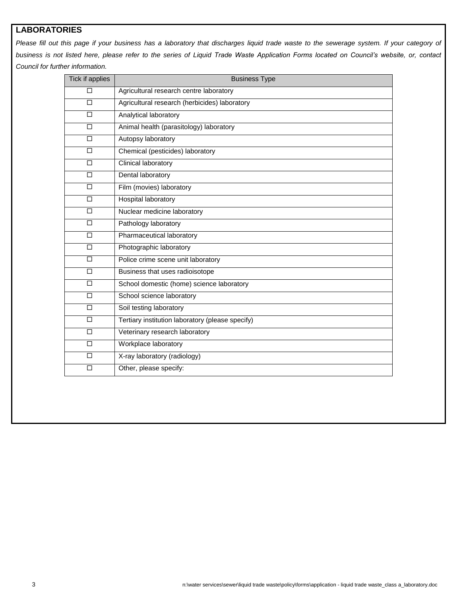## **LABORATORIES**

Please fill out this page if your business has a laboratory that discharges liquid trade waste to the sewerage system. If your category of *business is not listed here, please refer to the series of Liquid Trade Waste Application Forms located on Council's website, or, contact Council for further information.*

| Tick if applies | <b>Business Type</b>                             |  |  |
|-----------------|--------------------------------------------------|--|--|
| □               | Agricultural research centre laboratory          |  |  |
| □               | Agricultural research (herbicides) laboratory    |  |  |
| $\Box$          | Analytical laboratory                            |  |  |
| $\Box$          | Animal health (parasitology) laboratory          |  |  |
| $\Box$          | Autopsy laboratory                               |  |  |
| $\Box$          | Chemical (pesticides) laboratory                 |  |  |
| $\Box$          | Clinical laboratory                              |  |  |
| $\Box$          | Dental laboratory                                |  |  |
| $\Box$          | Film (movies) laboratory                         |  |  |
| □               | <b>Hospital laboratory</b>                       |  |  |
| $\Box$          | Nuclear medicine laboratory                      |  |  |
| □               | Pathology laboratory                             |  |  |
| $\Box$          | Pharmaceutical laboratory                        |  |  |
| $\Box$          | Photographic laboratory                          |  |  |
| $\Box$          | Police crime scene unit laboratory               |  |  |
| $\Box$          | Business that uses radioisotope                  |  |  |
| $\Box$          | School domestic (home) science laboratory        |  |  |
| $\Box$          | School science laboratory                        |  |  |
| $\Box$          | Soil testing laboratory                          |  |  |
| $\Box$          | Tertiary institution laboratory (please specify) |  |  |
| $\Box$          | Veterinary research laboratory                   |  |  |
| $\Box$          | Workplace laboratory                             |  |  |
| $\Box$          | X-ray laboratory (radiology)                     |  |  |
| $\Box$          | Other, please specify:                           |  |  |